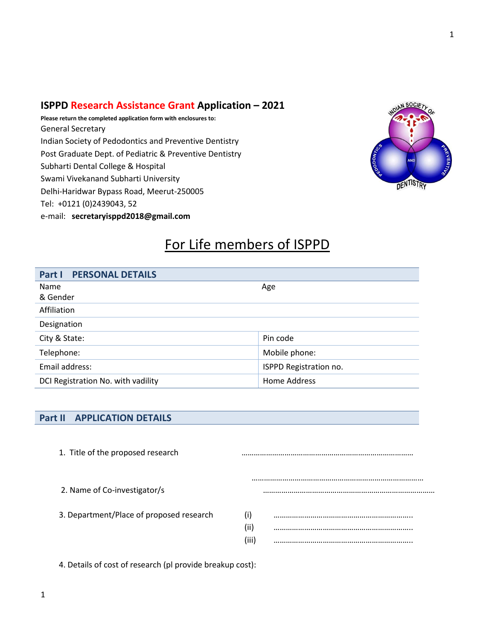### **ISPPD Research Assistance Grant Application – 2021**

**Please return the completed application form with enclosures to:** General Secretary Indian Society of Pedodontics and Preventive Dentistry Post Graduate Dept. of Pediatric & Preventive Dentistry Subharti Dental College & Hospital Swami Vivekanand Subharti University Delhi-Haridwar Bypass Road, Meerut-250005 Tel: +0121 (0)2439043, 52 e-mail: **secretaryisppd2018@gmail.com**



## For Life members of ISPPD

| <b>Part I PERSONAL DETAILS</b>     |                        |  |
|------------------------------------|------------------------|--|
| Name                               | Age                    |  |
| & Gender                           |                        |  |
| Affiliation                        |                        |  |
| Designation                        |                        |  |
| City & State:                      | Pin code               |  |
| Telephone:                         | Mobile phone:          |  |
| Email address:                     | ISPPD Registration no. |  |
| DCI Registration No. with vadility | Home Address           |  |

### **Part II APPLICATION DETAILS**

| 1. Title of the proposed research        |   |
|------------------------------------------|---|
| 2. Name of Co-investigator/s             |   |
| 3. Department/Place of proposed research | Œ |

4. Details of cost of research (pl provide breakup cost):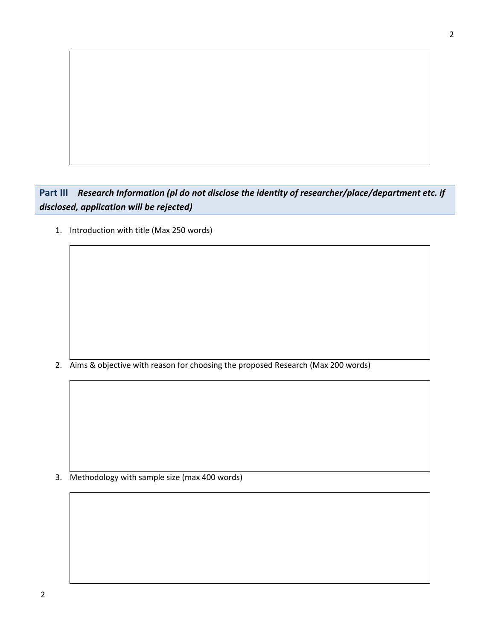**Part III** *Research Information (pl do not disclose the identity of researcher/place/department etc. if disclosed, application will be rejected)*

1. Introduction with title (Max 250 words)

2. Aims & objective with reason for choosing the proposed Research (Max 200 words)

3. Methodology with sample size (max 400 words)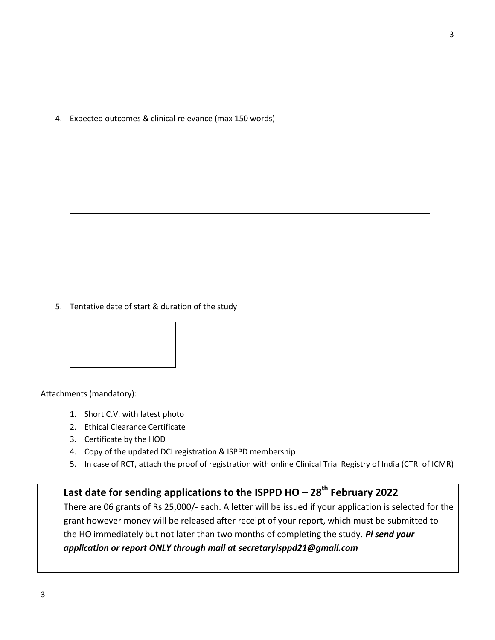4. Expected outcomes & clinical relevance (max 150 words)

5. Tentative date of start & duration of the study



Attachments (mandatory):

- 1. Short C.V. with latest photo
- 2. Ethical Clearance Certificate
- 3. Certificate by the HOD
- 4. Copy of the updated DCI registration & ISPPD membership
- 5. In case of RCT, attach the proof of registration with online Clinical Trial Registry of India (CTRI of ICMR)

# **Last date for sending applications to the ISPPD HO – 28th February 2022**

There are 06 grants of Rs 25,000/- each. A letter will be issued if your application is selected for the grant however money will be released after receipt of your report, which must be submitted to the HO immediately but not later than two months of completing the study. *Pl send your application or report ONLY through mail at secretaryisppd21@gmail.com*